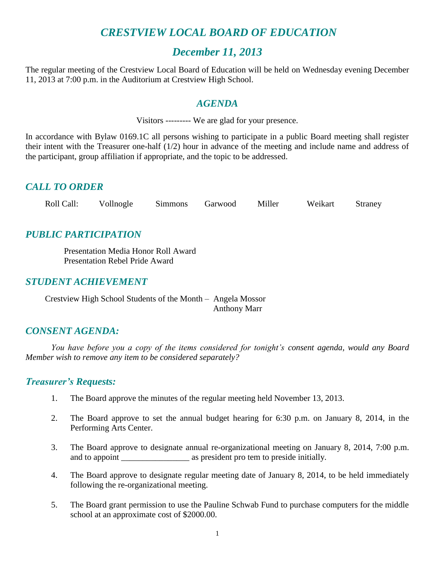# *CRESTVIEW LOCAL BOARD OF EDUCATION*

### *December 11, 2013*

The regular meeting of the Crestview Local Board of Education will be held on Wednesday evening December 11, 2013 at 7:00 p.m. in the Auditorium at Crestview High School.

### *AGENDA*

Visitors --------- We are glad for your presence.

In accordance with Bylaw 0169.1C all persons wishing to participate in a public Board meeting shall register their intent with the Treasurer one-half (1/2) hour in advance of the meeting and include name and address of the participant, group affiliation if appropriate, and the topic to be addressed.

### *CALL TO ORDER*

Roll Call: Vollnogle Simmons Garwood Miller Weikart Straney

### *PUBLIC PARTICIPATION*

Presentation Media Honor Roll Award Presentation Rebel Pride Award

### *STUDENT ACHIEVEMENT*

Crestview High School Students of the Month – Angela Mossor Anthony Marr

### *CONSENT AGENDA:*

*You have before you a copy of the items considered for tonight's consent agenda, would any Board Member wish to remove any item to be considered separately?*

### *Treasurer's Requests:*

- 1. The Board approve the minutes of the regular meeting held November 13, 2013.
- 2. The Board approve to set the annual budget hearing for 6:30 p.m. on January 8, 2014, in the Performing Arts Center.
- 3. The Board approve to designate annual re-organizational meeting on January 8, 2014, 7:00 p.m. and to appoint \_\_\_\_\_\_\_\_\_\_\_\_\_\_\_\_ as president pro tem to preside initially.
- 4. The Board approve to designate regular meeting date of January 8, 2014, to be held immediately following the re-organizational meeting.
- 5. The Board grant permission to use the Pauline Schwab Fund to purchase computers for the middle school at an approximate cost of \$2000.00.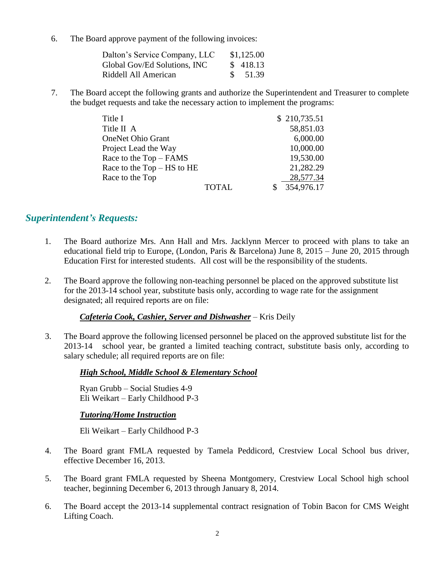6. The Board approve payment of the following invoices:

| Dalton's Service Company, LLC | \$1,125.00         |
|-------------------------------|--------------------|
| Global Gov/Ed Solutions, INC  | \$ 418.13          |
| Riddell All American          | $\frac{\$}{51.39}$ |

7. The Board accept the following grants and authorize the Superintendent and Treasurer to complete the budget requests and take the necessary action to implement the programs:

| Title I                    |              | \$210,735.51 |  |
|----------------------------|--------------|--------------|--|
| Title II A                 |              | 58,851.03    |  |
| <b>OneNet Ohio Grant</b>   |              | 6,000.00     |  |
| Project Lead the Way       |              | 10,000.00    |  |
| Race to the Top – FAMS     |              | 19,530.00    |  |
| Race to the Top – HS to HE |              | 21,282.29    |  |
| Race to the Top            |              | 28,577.34    |  |
|                            | <b>TOTAL</b> | 354,976.17   |  |

### *Superintendent's Requests:*

- 1. The Board authorize Mrs. Ann Hall and Mrs. Jacklynn Mercer to proceed with plans to take an educational field trip to Europe, (London, Paris & Barcelona) June 8, 2015 – June 20, 2015 through Education First for interested students. All cost will be the responsibility of the students.
- 2. The Board approve the following non-teaching personnel be placed on the approved substitute list for the 2013-14 school year, substitute basis only, according to wage rate for the assignment designated; all required reports are on file:

#### *Cafeteria Cook, Cashier, Server and Dishwasher* – Kris Deily

3. The Board approve the following licensed personnel be placed on the approved substitute list for the 2013-14 school year, be granted a limited teaching contract, substitute basis only, according to salary schedule; all required reports are on file:

#### *High School, Middle School & Elementary School*

Ryan Grubb – Social Studies 4-9 Eli Weikart – Early Childhood P-3

#### *Tutoring/Home Instruction*

Eli Weikart – Early Childhood P-3

- 4. The Board grant FMLA requested by Tamela Peddicord, Crestview Local School bus driver, effective December 16, 2013.
- 5. The Board grant FMLA requested by Sheena Montgomery, Crestview Local School high school teacher, beginning December 6, 2013 through January 8, 2014.
- 6. The Board accept the 2013-14 supplemental contract resignation of Tobin Bacon for CMS Weight Lifting Coach.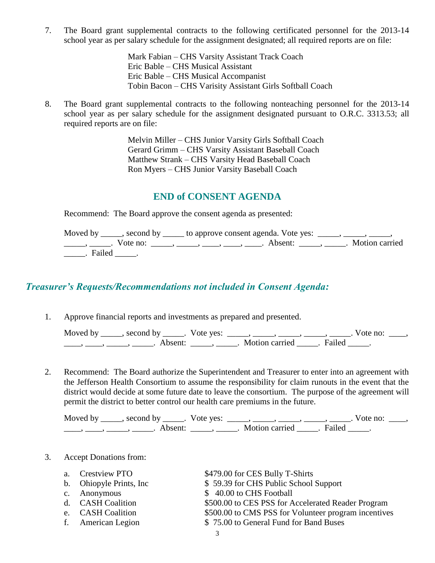7. The Board grant supplemental contracts to the following certificated personnel for the 2013-14 school year as per salary schedule for the assignment designated; all required reports are on file:

> Mark Fabian – CHS Varsity Assistant Track Coach Eric Bable – CHS Musical Assistant Eric Bable – CHS Musical Accompanist Tobin Bacon – CHS Varisity Assistant Girls Softball Coach

8. The Board grant supplemental contracts to the following nonteaching personnel for the 2013-14 school year as per salary schedule for the assignment designated pursuant to O.R.C. 3313.53; all required reports are on file:

> Melvin Miller – CHS Junior Varsity Girls Softball Coach Gerard Grimm – CHS Varsity Assistant Baseball Coach Matthew Strank – CHS Varsity Head Baseball Coach Ron Myers – CHS Junior Varsity Baseball Coach

### **END of CONSENT AGENDA**

Recommend: The Board approve the consent agenda as presented:

|          | Moved by _____, second by _____ to approve consent agenda. Vote yes: $\_\_\_\_\$ , $\_\_\_\_\_\$ , ____, ____,                                                                                                                                                                                                                                                                                                              |  |
|----------|-----------------------------------------------------------------------------------------------------------------------------------------------------------------------------------------------------------------------------------------------------------------------------------------------------------------------------------------------------------------------------------------------------------------------------|--|
|          | $\frac{1}{1}, \frac{1}{1}, \frac{1}{1}, \frac{1}{1}, \frac{1}{1}, \frac{1}{1}, \frac{1}{1}, \frac{1}{1}, \frac{1}{1}, \frac{1}{1}, \frac{1}{1}, \frac{1}{1}, \frac{1}{1}, \frac{1}{1}, \frac{1}{1}, \frac{1}{1}, \frac{1}{1}, \frac{1}{1}, \frac{1}{1}, \frac{1}{1}, \frac{1}{1}, \frac{1}{1}, \frac{1}{1}, \frac{1}{1}, \frac{1}{1}, \frac{1}{1}, \frac{1}{1}, \frac{1}{1}, \frac{1}{1}, \frac{1}{1}, \frac{1}{1}, \frac{$ |  |
| . Failed |                                                                                                                                                                                                                                                                                                                                                                                                                             |  |

### *Treasurer's Requests/Recommendations not included in Consent Agenda:*

1. Approve financial reports and investments as prepared and presented.

| Moved by | second by           | Vote yes: |                |        | $\sqrt{\circ}$ terms to $\frac{1}{2}$ |  |
|----------|---------------------|-----------|----------------|--------|---------------------------------------|--|
|          | Absent <sup>.</sup> |           | Motion carried | Failed |                                       |  |

2. Recommend: The Board authorize the Superintendent and Treasurer to enter into an agreement with the Jefferson Health Consortium to assume the responsibility for claim runouts in the event that the district would decide at some future date to leave the consortium. The purpose of the agreement will permit the district to better control our health care premiums in the future.

Moved by \_\_\_\_\_, second by \_\_\_\_\_. Vote yes:  $\_\_\_\_\_\_\_\_\_\_\_\_\_\_\_$  \_\_\_\_\_, \_\_\_\_\_, \_\_\_\_\_. Vote no:  $\_\_\_\_\_\_\$ \_\_\_\_\_, \_\_\_\_\_\_, \_\_\_\_\_\_\_. Absent: \_\_\_\_\_\_, \_\_\_\_\_\_. Motion carried \_\_\_\_\_\_. Failed \_\_\_\_\_.

3. Accept Donations from:

| $a_{\cdot}$ | <b>Crestview PTO</b>     | \$479.00 for CES Bully T-Shirts                      |
|-------------|--------------------------|------------------------------------------------------|
|             | b. Ohiopyle Prints, Inc. | \$59.39 for CHS Public School Support                |
|             | c. Anonymous             | \$40.00 to CHS Football                              |
|             | d. CASH Coalition        | \$500.00 to CES PSS for Accelerated Reader Program   |
|             | e. CASH Coalition        | \$500.00 to CMS PSS for Volunteer program incentives |
|             | f. American Legion       | \$75.00 to General Fund for Band Buses               |
|             |                          |                                                      |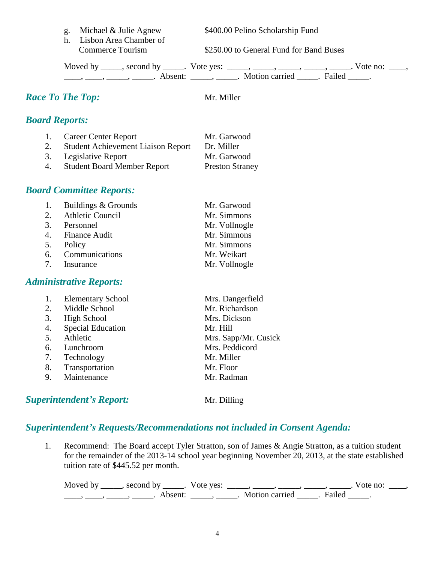h. Lisbon Area Chamber of

g. Michael & Julie Agnew \$400.00 Pelino Scholarship Fund

Commerce Tourism \$250.00 to General Fund for Band Buses

Moved by \_\_\_\_\_, second by \_\_\_\_\_. Vote yes:  $\_\_\_\_\_\_\_\_\_\_\_\_\_\_\_$  \_\_\_\_\_, \_\_\_\_\_, \_\_\_\_\_. Vote no:  $\_\_\_\_\_\_\$ \_\_\_\_, \_\_\_\_\_, \_\_\_\_\_\_, Absent: \_\_\_\_\_, \_\_\_\_\_. Motion carried \_\_\_\_\_. Failed \_\_\_\_\_.

## *Race To The Top:* Mr. Miller

|  |  | <b>Board Reports:</b> |
|--|--|-----------------------|
|--|--|-----------------------|

1. Career Center Report Mr. Garwood 2. Student Achievement Liaison Report Dr. Miller 3. Legislative Report Mr. Garwood 4. Student Board Member Report Preston Straney

### *Board Committee Reports:*

| 1. | Buildings & Grounds | Mr. Garwood   |
|----|---------------------|---------------|
|    | 2. Athletic Council | Mr. Simmons   |
|    | 3. Personnel        | Mr. Vollnogle |
|    | 4. Finance Audit    | Mr. Simmons   |
| 5. | Policy              | Mr. Simmons   |
|    | 6. Communications   | Mr. Weikart   |
|    | 7. Insurance        | Mr. Vollnogle |

### *Administrative Reports:*

|    | <b>Elementary School</b> | Mrs. Dangerfield     |
|----|--------------------------|----------------------|
| 2. | Middle School            | Mr. Richardson       |
| 3. | <b>High School</b>       | Mrs. Dickson         |
| 4. | <b>Special Education</b> | Mr. Hill             |
| 5. | Athletic                 | Mrs. Sapp/Mr. Cusick |
| 6. | Lunchroom                | Mrs. Peddicord       |
| 7. | Technology               | Mr. Miller           |
| 8. | Transportation           | Mr. Floor            |
| 9. | Maintenance              | Mr. Radman           |
|    |                          |                      |

### **Superintendent's Report:** Mr. Dilling

# *Superintendent's Requests/Recommendations not included in Consent Agenda:*

1. Recommend: The Board accept Tyler Stratton, son of James & Angie Stratton, as a tuition student for the remainder of the 2013-14 school year beginning November 20, 2013, at the state established tuition rate of \$445.52 per month.

Moved by \_\_\_\_\_, second by \_\_\_\_\_. Vote yes:  $\_\_\_\_\_\_\_\_\_\_\_\_\_\_\_$  \_\_\_\_\_, \_\_\_\_\_, \_\_\_\_\_. Vote no:  $\_\_\_\_\_\_\$ \_\_\_\_\_, \_\_\_\_\_\_, \_\_\_\_\_\_\_. Absent: \_\_\_\_\_\_, \_\_\_\_\_\_. Motion carried \_\_\_\_\_\_. Failed \_\_\_\_\_.